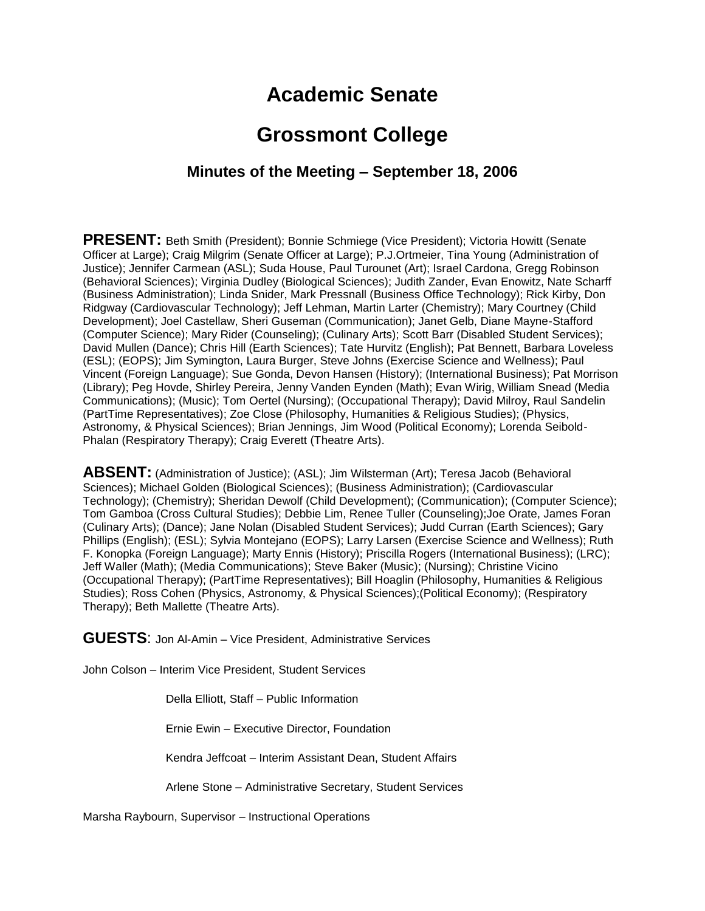# **Academic Senate**

# **Grossmont College**

## **Minutes of the Meeting – September 18, 2006**

**PRESENT:** Beth Smith (President); Bonnie Schmiege (Vice President); Victoria Howitt (Senate Officer at Large); Craig Milgrim (Senate Officer at Large); P.J.Ortmeier, Tina Young (Administration of Justice); Jennifer Carmean (ASL); Suda House, Paul Turounet (Art); Israel Cardona, Gregg Robinson (Behavioral Sciences); Virginia Dudley (Biological Sciences); Judith Zander, Evan Enowitz, Nate Scharff (Business Administration); Linda Snider, Mark Pressnall (Business Office Technology); Rick Kirby, Don Ridgway (Cardiovascular Technology); Jeff Lehman, Martin Larter (Chemistry); Mary Courtney (Child Development); Joel Castellaw, Sheri Guseman (Communication); Janet Gelb, Diane Mayne-Stafford (Computer Science); Mary Rider (Counseling); (Culinary Arts); Scott Barr (Disabled Student Services); David Mullen (Dance); Chris Hill (Earth Sciences); Tate Hurvitz (English); Pat Bennett, Barbara Loveless (ESL); (EOPS); Jim Symington, Laura Burger, Steve Johns (Exercise Science and Wellness); Paul Vincent (Foreign Language); Sue Gonda, Devon Hansen (History); (International Business); Pat Morrison (Library); Peg Hovde, Shirley Pereira, Jenny Vanden Eynden (Math); Evan Wirig, William Snead (Media Communications); (Music); Tom Oertel (Nursing); (Occupational Therapy); David Milroy, Raul Sandelin (PartTime Representatives); Zoe Close (Philosophy, Humanities & Religious Studies); (Physics, Astronomy, & Physical Sciences); Brian Jennings, Jim Wood (Political Economy); Lorenda Seibold-Phalan (Respiratory Therapy); Craig Everett (Theatre Arts).

**ABSENT:** (Administration of Justice); (ASL); Jim Wilsterman (Art); Teresa Jacob (Behavioral Sciences); Michael Golden (Biological Sciences); (Business Administration); (Cardiovascular Technology); (Chemistry); Sheridan Dewolf (Child Development); (Communication); (Computer Science); Tom Gamboa (Cross Cultural Studies); Debbie Lim, Renee Tuller (Counseling);Joe Orate, James Foran (Culinary Arts); (Dance); Jane Nolan (Disabled Student Services); Judd Curran (Earth Sciences); Gary Phillips (English); (ESL); Sylvia Montejano (EOPS); Larry Larsen (Exercise Science and Wellness); Ruth F. Konopka (Foreign Language); Marty Ennis (History); Priscilla Rogers (International Business); (LRC); Jeff Waller (Math); (Media Communications); Steve Baker (Music); (Nursing); Christine Vicino (Occupational Therapy); (PartTime Representatives); Bill Hoaglin (Philosophy, Humanities & Religious Studies); Ross Cohen (Physics, Astronomy, & Physical Sciences);(Political Economy); (Respiratory Therapy); Beth Mallette (Theatre Arts).

**GUESTS**: Jon Al-Amin – Vice President, Administrative Services

John Colson – Interim Vice President, Student Services

Della Elliott, Staff – Public Information

Ernie Ewin – Executive Director, Foundation

Kendra Jeffcoat – Interim Assistant Dean, Student Affairs

Arlene Stone – Administrative Secretary, Student Services

Marsha Raybourn, Supervisor – Instructional Operations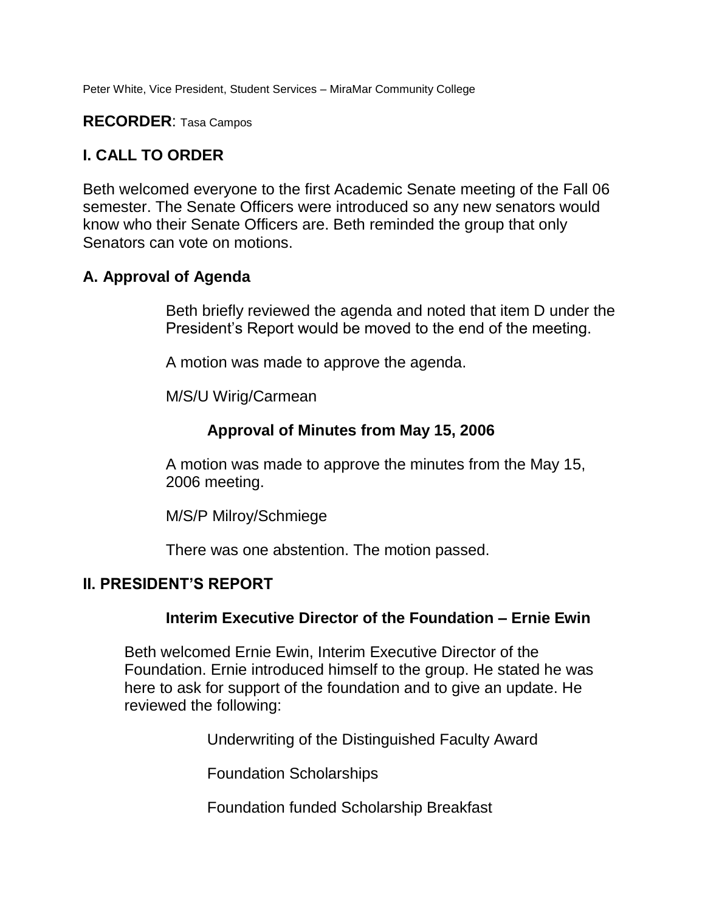Peter White, Vice President, Student Services – MiraMar Community College

#### **RECORDER**: Tasa Campos

## **I. CALL TO ORDER**

Beth welcomed everyone to the first Academic Senate meeting of the Fall 06 semester. The Senate Officers were introduced so any new senators would know who their Senate Officers are. Beth reminded the group that only Senators can vote on motions.

## **A. Approval of Agenda**

Beth briefly reviewed the agenda and noted that item D under the President's Report would be moved to the end of the meeting.

A motion was made to approve the agenda.

M/S/U Wirig/Carmean

## **Approval of Minutes from May 15, 2006**

A motion was made to approve the minutes from the May 15, 2006 meeting.

M/S/P Milroy/Schmiege

There was one abstention. The motion passed.

## **II. PRESIDENT'S REPORT**

#### **Interim Executive Director of the Foundation – Ernie Ewin**

Beth welcomed Ernie Ewin, Interim Executive Director of the Foundation. Ernie introduced himself to the group. He stated he was here to ask for support of the foundation and to give an update. He reviewed the following:

Underwriting of the Distinguished Faculty Award

Foundation Scholarships

Foundation funded Scholarship Breakfast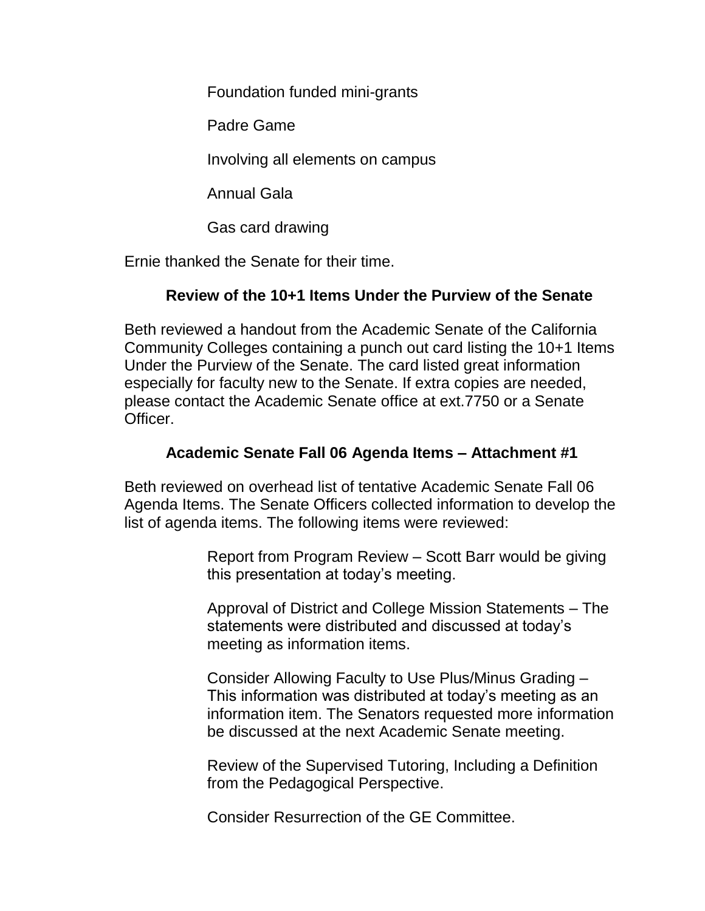Foundation funded mini-grants

Padre Game

Involving all elements on campus

Annual Gala

Gas card drawing

Ernie thanked the Senate for their time.

# **Review of the 10+1 Items Under the Purview of the Senate**

Beth reviewed a handout from the Academic Senate of the California Community Colleges containing a punch out card listing the 10+1 Items Under the Purview of the Senate. The card listed great information especially for faculty new to the Senate. If extra copies are needed, please contact the Academic Senate office at ext.7750 or a Senate Officer.

# **Academic Senate Fall 06 Agenda Items – Attachment #1**

Beth reviewed on overhead list of tentative Academic Senate Fall 06 Agenda Items. The Senate Officers collected information to develop the list of agenda items. The following items were reviewed:

> Report from Program Review – Scott Barr would be giving this presentation at today's meeting.

> Approval of District and College Mission Statements – The statements were distributed and discussed at today's meeting as information items.

Consider Allowing Faculty to Use Plus/Minus Grading – This information was distributed at today's meeting as an information item. The Senators requested more information be discussed at the next Academic Senate meeting.

Review of the Supervised Tutoring, Including a Definition from the Pedagogical Perspective.

Consider Resurrection of the GE Committee.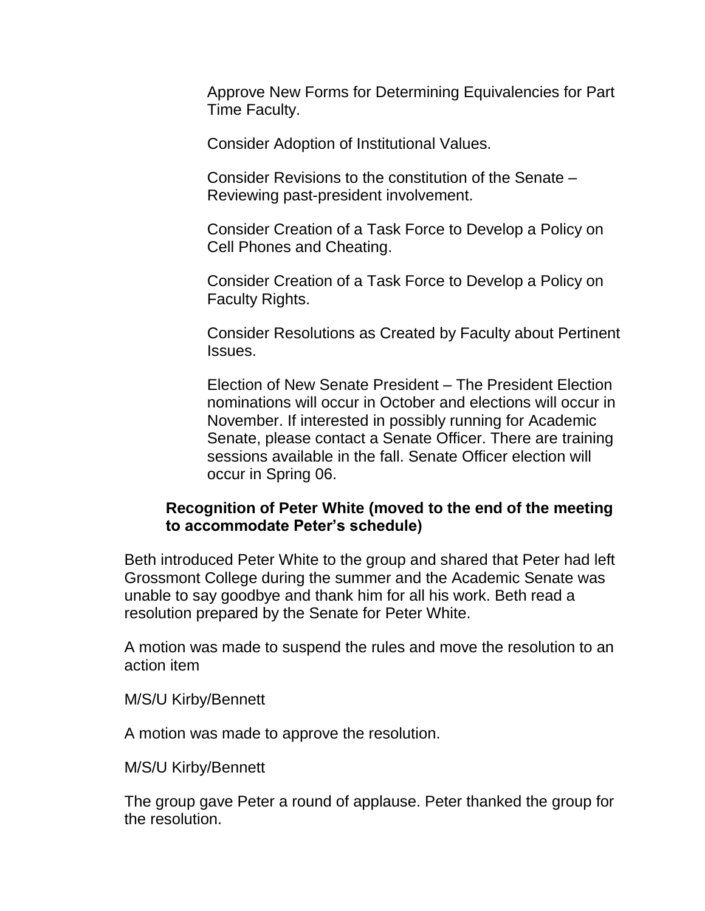Approve New Forms for Determining Equivalencies for Part Time Faculty.

Consider Adoption of Institutional Values.

Consider Revisions to the constitution of the Senate – Reviewing past-president involvement.

Consider Creation of a Task Force to Develop a Policy on Cell Phones and Cheating.

Consider Creation of a Task Force to Develop a Policy on Faculty Rights.

Consider Resolutions as Created by Faculty about Pertinent Issues.

Election of New Senate President – The President Election nominations will occur in October and elections will occur in November. If interested in possibly running for Academic Senate, please contact a Senate Officer. There are training sessions available in the fall. Senate Officer election will occur in Spring 06.

## **Recognition of Peter White (moved to the end of the meeting to accommodate Peter's schedule)**

Beth introduced Peter White to the group and shared that Peter had left Grossmont College during the summer and the Academic Senate was unable to say goodbye and thank him for all his work. Beth read a resolution prepared by the Senate for Peter White.

A motion was made to suspend the rules and move the resolution to an action item

M/S/U Kirby/Bennett

A motion was made to approve the resolution.

M/S/U Kirby/Bennett

The group gave Peter a round of applause. Peter thanked the group for the resolution.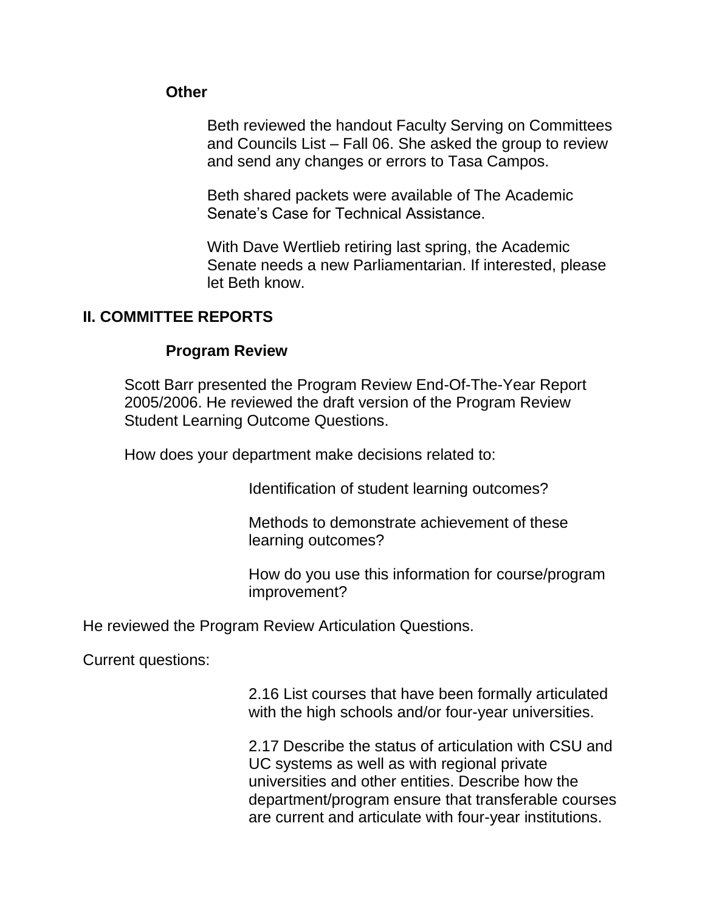#### **Other**

Beth reviewed the handout Faculty Serving on Committees and Councils List – Fall 06. She asked the group to review and send any changes or errors to Tasa Campos.

Beth shared packets were available of The Academic Senate's Case for Technical Assistance.

With Dave Wertlieb retiring last spring, the Academic Senate needs a new Parliamentarian. If interested, please let Beth know.

## **II. COMMITTEE REPORTS**

#### **Program Review**

Scott Barr presented the Program Review End-Of-The-Year Report 2005/2006. He reviewed the draft version of the Program Review Student Learning Outcome Questions.

How does your department make decisions related to:

Identification of student learning outcomes?

Methods to demonstrate achievement of these learning outcomes?

How do you use this information for course/program improvement?

He reviewed the Program Review Articulation Questions.

Current questions:

2.16 List courses that have been formally articulated with the high schools and/or four-year universities.

2.17 Describe the status of articulation with CSU and UC systems as well as with regional private universities and other entities. Describe how the department/program ensure that transferable courses are current and articulate with four-year institutions.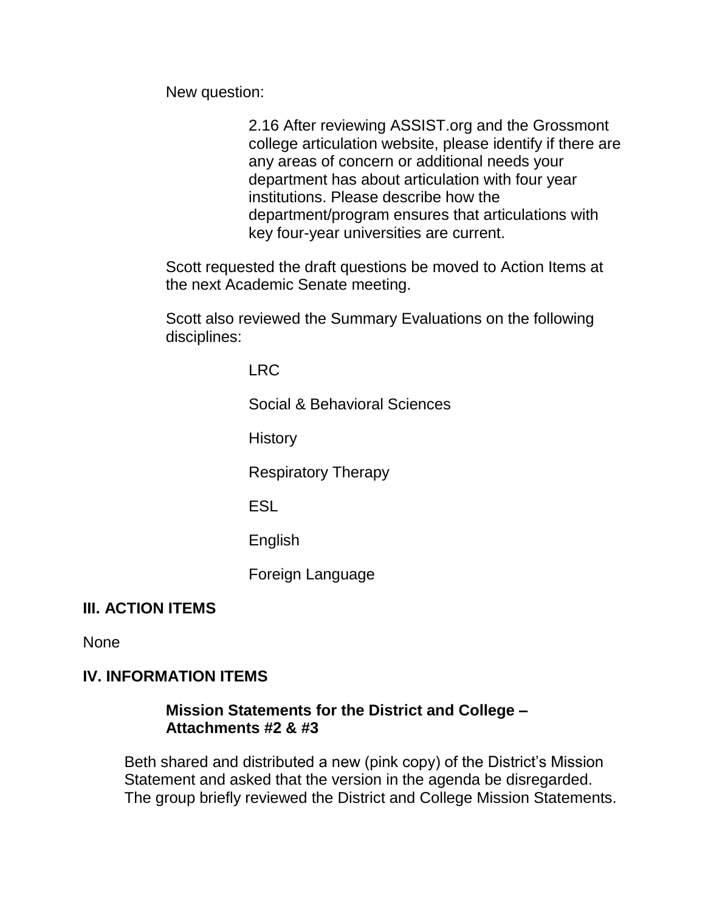New question:

2.16 After reviewing ASSIST.org and the Grossmont college articulation website, please identify if there are any areas of concern or additional needs your department has about articulation with four year institutions. Please describe how the department/program ensures that articulations with key four-year universities are current.

Scott requested the draft questions be moved to Action Items at the next Academic Senate meeting.

Scott also reviewed the Summary Evaluations on the following disciplines:

LRC

Social & Behavioral Sciences

**History** 

Respiratory Therapy

ESL

English

Foreign Language

# **III. ACTION ITEMS**

None

## **IV. INFORMATION ITEMS**

## **Mission Statements for the District and College – Attachments #2 & #3**

Beth shared and distributed a new (pink copy) of the District's Mission Statement and asked that the version in the agenda be disregarded. The group briefly reviewed the District and College Mission Statements.